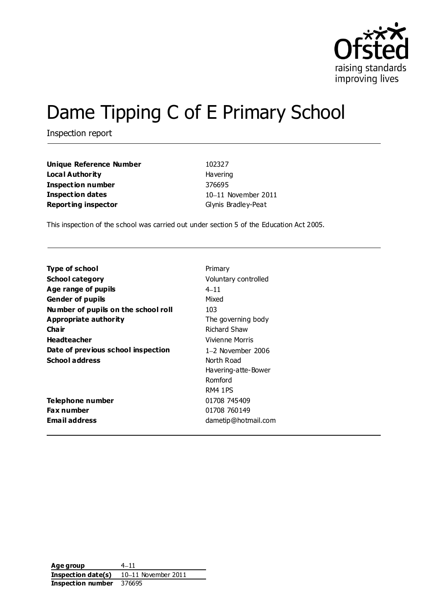

# Dame Tipping C of E Primary School

Inspection report

| <b>Unique Reference Number</b> | 102327              |
|--------------------------------|---------------------|
| Local Authority                | <b>Havering</b>     |
| Inspection number              | 376695              |
| <b>Inspection dates</b>        | 10-11 November 20   |
| <b>Reporting inspector</b>     | Glynis Bradley-Peat |

**Unique Reference Number** 102327 **Havering Inspection number** 376695 10-11 November 2011

This inspection of the school was carried out under section 5 of the Education Act 2005.

| Type of school                      | Primary              |
|-------------------------------------|----------------------|
| <b>School category</b>              | Voluntary controlled |
| Age range of pupils                 | $4 - 11$             |
| <b>Gender of pupils</b>             | Mixed                |
| Number of pupils on the school roll | 103                  |
| Appropriate authority               | The governing body   |
| Cha ir                              | <b>Richard Shaw</b>  |
| <b>Headteacher</b>                  | Vivienne Morris      |
| Date of previous school inspection  | $1-2$ November 2006  |
| <b>School address</b>               | North Road           |
|                                     | Havering-atte-Bower  |
|                                     | Romford              |
|                                     | <b>RM4 1PS</b>       |
| Telephone number                    | 01708 745409         |
| <b>Fax number</b>                   | 01708 760149         |
| Email address                       | dametip@hotmail.com  |

**Age group**  $4-11$ **Inspection date(s)** 10-11 November 2011 **Inspection number** 376695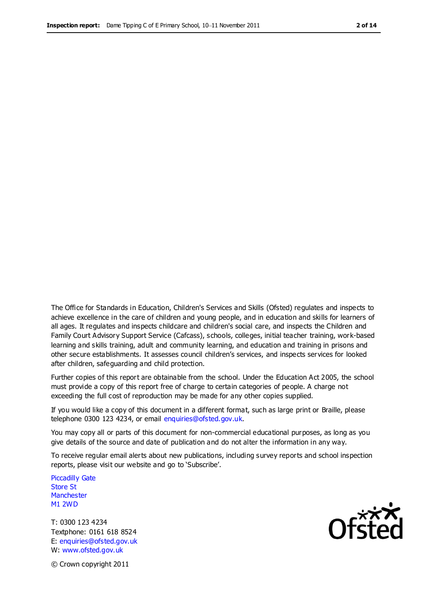The Office for Standards in Education, Children's Services and Skills (Ofsted) regulates and inspects to achieve excellence in the care of children and young people, and in education and skills for learners of all ages. It regulates and inspects childcare and children's social care, and inspects the Children and Family Court Advisory Support Service (Cafcass), schools, colleges, initial teacher training, work-based learning and skills training, adult and community learning, and education and training in prisons and other secure establishments. It assesses council children's services, and inspects services for looked after children, safeguarding and child protection.

Further copies of this report are obtainable from the school. Under the Education Act 2005, the school must provide a copy of this report free of charge to certain categories of people. A charge not exceeding the full cost of reproduction may be made for any other copies supplied.

If you would like a copy of this document in a different format, such as large print or Braille, please telephone 0300 123 4234, or email enquiries@ofsted.gov.uk.

You may copy all or parts of this document for non-commercial educational purposes, as long as you give details of the source and date of publication and do not alter the information in any way.

To receive regular email alerts about new publications, including survey reports and school inspection reports, please visit our website and go to 'Subscribe'.

Piccadilly Gate Store St **Manchester** M1 2WD

T: 0300 123 4234 Textphone: 0161 618 8524 E: enquiries@ofsted.gov.uk W: www.ofsted.gov.uk

**Ofsted** 

© Crown copyright 2011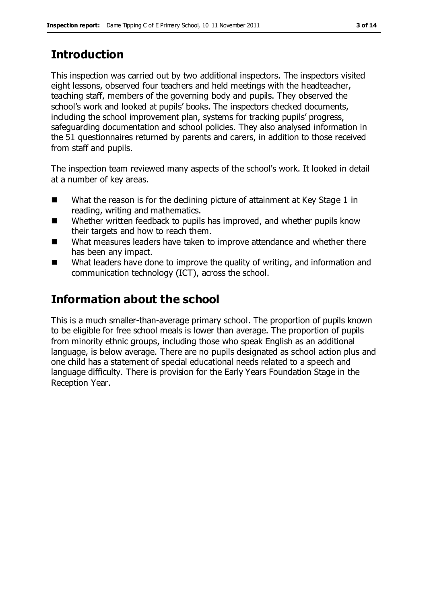## **Introduction**

This inspection was carried out by two additional inspectors. The inspectors visited eight lessons, observed four teachers and held meetings with the headteacher, teaching staff, members of the governing body and pupils. They observed the school's work and looked at pupils' books. The inspectors checked documents, including the school improvement plan, systems for tracking pupils' progress, safeguarding documentation and school policies. They also analysed information in the 51 questionnaires returned by parents and carers, in addition to those received from staff and pupils.

The inspection team reviewed many aspects of the school's work. It looked in detail at a number of key areas.

- What the reason is for the declining picture of attainment at Key Stage 1 in reading, writing and mathematics.
- Whether written feedback to pupils has improved, and whether pupils know their targets and how to reach them.
- What measures leaders have taken to improve attendance and whether there has been any impact.
- What leaders have done to improve the quality of writing, and information and communication technology (ICT), across the school.

# **Information about the school**

This is a much smaller-than-average primary school. The proportion of pupils known to be eligible for free school meals is lower than average. The proportion of pupils from minority ethnic groups, including those who speak English as an additional language, is below average. There are no pupils designated as school action plus and one child has a statement of special educational needs related to a speech and language difficulty. There is provision for the Early Years Foundation Stage in the Reception Year.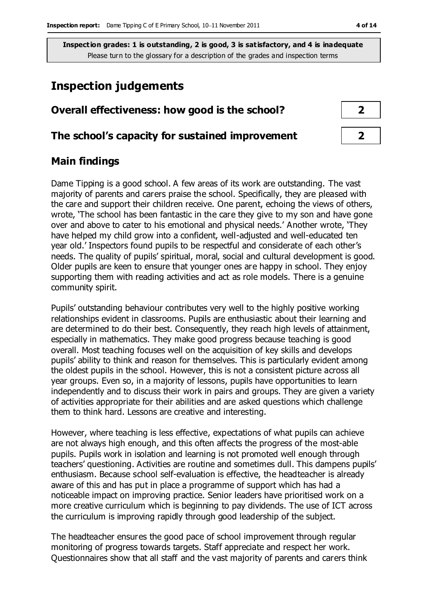## **Inspection judgements**

# **Overall effectiveness: how good is the school? 2 The school's capacity for sustained improvement 2**

## **Main findings**

Dame Tipping is a good school. A few areas of its work are outstanding. The vast majority of parents and carers praise the school. Specifically, they are pleased with the care and support their children receive. One parent, echoing the views of others, wrote, 'The school has been fantastic in the care they give to my son and have gone over and above to cater to his emotional and physical needs.' Another wrote, 'They have helped my child grow into a confident, well-adjusted and well-educated ten year old.' Inspectors found pupils to be respectful and considerate of each other's needs. The quality of pupils' spiritual, moral, social and cultural development is good. Older pupils are keen to ensure that younger ones are happy in school. They enjoy supporting them with reading activities and act as role models. There is a genuine community spirit.

Pupils' outstanding behaviour contributes very well to the highly positive working relationships evident in classrooms. Pupils are enthusiastic about their learning and are determined to do their best. Consequently, they reach high levels of attainment, especially in mathematics. They make good progress because teaching is good overall. Most teaching focuses well on the acquisition of key skills and develops pupils' ability to think and reason for themselves. This is particularly evident among the oldest pupils in the school. However, this is not a consistent picture across all year groups. Even so, in a majority of lessons, pupils have opportunities to learn independently and to discuss their work in pairs and groups. They are given a variety of activities appropriate for their abilities and are asked questions which challenge them to think hard. Lessons are creative and interesting.

However, where teaching is less effective, expectations of what pupils can achieve are not always high enough, and this often affects the progress of the most-able pupils. Pupils work in isolation and learning is not promoted well enough through teachers' questioning. Activities are routine and sometimes dull. This dampens pupils' enthusiasm. Because school self-evaluation is effective, the headteacher is already aware of this and has put in place a programme of support which has had a noticeable impact on improving practice. Senior leaders have prioritised work on a more creative curriculum which is beginning to pay dividends. The use of ICT across the curriculum is improving rapidly through good leadership of the subject.

The headteacher ensures the good pace of school improvement through regular monitoring of progress towards targets. Staff appreciate and respect her work. Questionnaires show that all staff and the vast majority of parents and carers think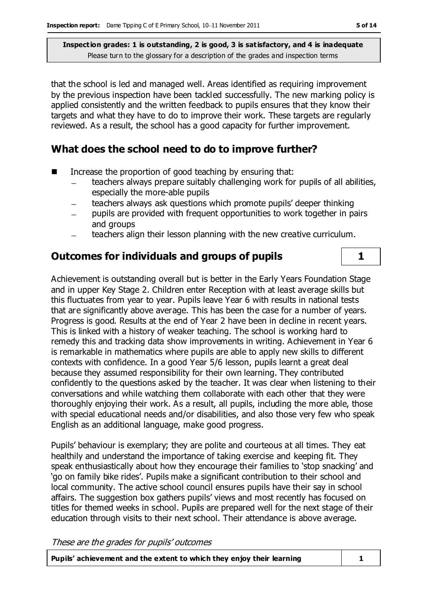that the school is led and managed well. Areas identified as requiring improvement by the previous inspection have been tackled successfully. The new marking policy is applied consistently and the written feedback to pupils ensures that they know their targets and what they have to do to improve their work. These targets are regularly reviewed. As a result, the school has a good capacity for further improvement.

## **What does the school need to do to improve further?**

- Increase the proportion of good teaching by ensuring that:
	- teachers always prepare suitably challenging work for pupils of all abilities,  $\overline{\phantom{0}}$ especially the more-able pupils
	- teachers always ask questions which promote pupils' deeper thinking
	- pupils are provided with frequent opportunities to work together in pairs and groups
	- teachers align their lesson planning with the new creative curriculum.

## **Outcomes for individuals and groups of pupils 1**

Achievement is outstanding overall but is better in the Early Years Foundation Stage and in upper Key Stage 2. Children enter Reception with at least average skills but this fluctuates from year to year. Pupils leave Year 6 with results in national tests that are significantly above average. This has been the case for a number of years. Progress is good. Results at the end of Year 2 have been in decline in recent years. This is linked with a history of weaker teaching. The school is working hard to remedy this and tracking data show improvements in writing. Achievement in Year 6 is remarkable in mathematics where pupils are able to apply new skills to different contexts with confidence. In a good Year 5/6 lesson, pupils learnt a great deal because they assumed responsibility for their own learning. They contributed confidently to the questions asked by the teacher. It was clear when listening to their conversations and while watching them collaborate with each other that they were thoroughly enjoying their work. As a result, all pupils, including the more able, those with special educational needs and/or disabilities, and also those very few who speak English as an additional language, make good progress.

Pupils' behaviour is exemplary; they are polite and courteous at all times. They eat healthily and understand the importance of taking exercise and keeping fit. They speak enthusiastically about how they encourage their families to 'stop snacking' and 'go on family bike rides'. Pupils make a significant contribution to their school and local community. The active school council ensures pupils have their say in school affairs. The suggestion box gathers pupils' views and most recently has focused on titles for themed weeks in school. Pupils are prepared well for the next stage of their education through visits to their next school. Their attendance is above average.

These are the grades for pupils' outcomes

**Pupils' achievement and the extent to which they enjoy their learning 1**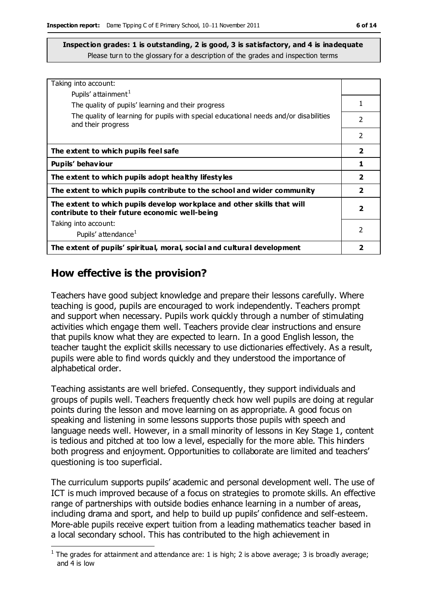| Taking into account:                                                                                                      |                          |
|---------------------------------------------------------------------------------------------------------------------------|--------------------------|
| Pupils' attainment <sup>1</sup>                                                                                           |                          |
| The quality of pupils' learning and their progress                                                                        |                          |
|                                                                                                                           |                          |
| The quality of learning for pupils with special educational needs and/or disabilities                                     | $\overline{\phantom{a}}$ |
| and their progress                                                                                                        |                          |
|                                                                                                                           | $\mathcal{P}$            |
| The extent to which pupils feel safe                                                                                      | $\overline{\mathbf{2}}$  |
| Pupils' behaviour                                                                                                         | 1                        |
| The extent to which pupils adopt healthy lifestyles                                                                       |                          |
| The extent to which pupils contribute to the school and wider community                                                   | $\overline{2}$           |
| The extent to which pupils develop workplace and other skills that will<br>contribute to their future economic well-being | 2                        |
| Taking into account:                                                                                                      |                          |
| Pupils' attendance <sup>1</sup>                                                                                           | 2                        |
| The extent of pupils' spiritual, moral, social and cultural development                                                   |                          |

### **How effective is the provision?**

 $\overline{a}$ 

Teachers have good subject knowledge and prepare their lessons carefully. Where teaching is good, pupils are encouraged to work independently. Teachers prompt and support when necessary. Pupils work quickly through a number of stimulating activities which engage them well. Teachers provide clear instructions and ensure that pupils know what they are expected to learn. In a good English lesson, the teacher taught the explicit skills necessary to use dictionaries effectively. As a result, pupils were able to find words quickly and they understood the importance of alphabetical order.

Teaching assistants are well briefed. Consequently, they support individuals and groups of pupils well. Teachers frequently check how well pupils are doing at regular points during the lesson and move learning on as appropriate. A good focus on speaking and listening in some lessons supports those pupils with speech and language needs well. However, in a small minority of lessons in Key Stage 1, content is tedious and pitched at too low a level, especially for the more able. This hinders both progress and enjoyment. Opportunities to collaborate are limited and teachers' questioning is too superficial.

The curriculum supports pupils' academic and personal development well. The use of ICT is much improved because of a focus on strategies to promote skills. An effective range of partnerships with outside bodies enhance learning in a number of areas, including drama and sport, and help to build up pupils' confidence and self-esteem. More-able pupils receive expert tuition from a leading mathematics teacher based in a local secondary school. This has contributed to the high achievement in

<sup>&</sup>lt;sup>1</sup> The grades for attainment and attendance are: 1 is high; 2 is above average; 3 is broadly average; and 4 is low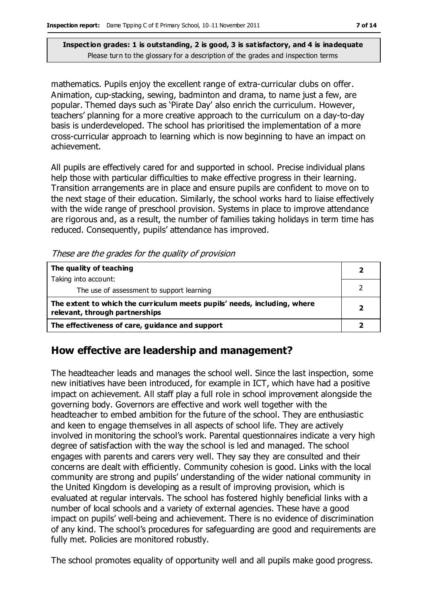mathematics. Pupils enjoy the excellent range of extra-curricular clubs on offer. Animation, cup-stacking, sewing, badminton and drama, to name just a few, are popular. Themed days such as 'Pirate Day' also enrich the curriculum. However, teachers' planning for a more creative approach to the curriculum on a day-to-day basis is underdeveloped. The school has prioritised the implementation of a more cross-curricular approach to learning which is now beginning to have an impact on achievement.

All pupils are effectively cared for and supported in school. Precise individual plans help those with particular difficulties to make effective progress in their learning. Transition arrangements are in place and ensure pupils are confident to move on to the next stage of their education. Similarly, the school works hard to liaise effectively with the wide range of preschool provision. Systems in place to improve attendance are rigorous and, as a result, the number of families taking holidays in term time has reduced. Consequently, pupils' attendance has improved.

These are the grades for the quality of provision

| The quality of teaching                                                                                    |  |
|------------------------------------------------------------------------------------------------------------|--|
| Taking into account:                                                                                       |  |
| The use of assessment to support learning                                                                  |  |
| The extent to which the curriculum meets pupils' needs, including, where<br>relevant, through partnerships |  |
| The effectiveness of care, guidance and support                                                            |  |

## **How effective are leadership and management?**

The headteacher leads and manages the school well. Since the last inspection, some new initiatives have been introduced, for example in ICT, which have had a positive impact on achievement. All staff play a full role in school improvement alongside the governing body. Governors are effective and work well together with the headteacher to embed ambition for the future of the school. They are enthusiastic and keen to engage themselves in all aspects of school life. They are actively involved in monitoring the school's work. Parental questionnaires indicate a very high degree of satisfaction with the way the school is led and managed. The school engages with parents and carers very well. They say they are consulted and their concerns are dealt with efficiently. Community cohesion is good. Links with the local community are strong and pupils' understanding of the wider national community in the United Kingdom is developing as a result of improving provision, which is evaluated at regular intervals. The school has fostered highly beneficial links with a number of local schools and a variety of external agencies. These have a good impact on pupils' well-being and achievement. There is no evidence of discrimination of any kind. The school's procedures for safeguarding are good and requirements are fully met. Policies are monitored robustly.

The school promotes equality of opportunity well and all pupils make good progress.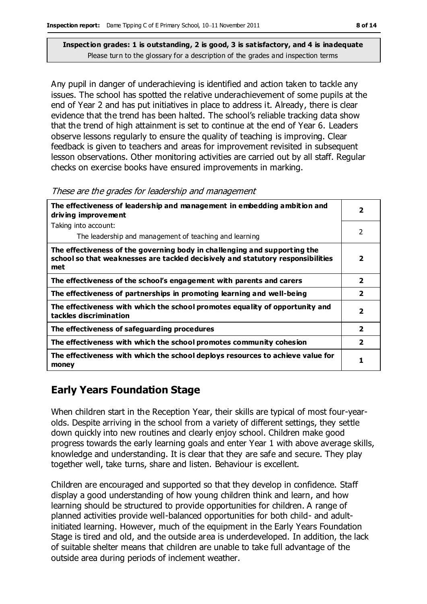Any pupil in danger of underachieving is identified and action taken to tackle any issues. The school has spotted the relative underachievement of some pupils at the end of Year 2 and has put initiatives in place to address it. Already, there is clear evidence that the trend has been halted. The school's reliable tracking data show that the trend of high attainment is set to continue at the end of Year 6. Leaders observe lessons regularly to ensure the quality of teaching is improving. Clear feedback is given to teachers and areas for improvement revisited in subsequent lesson observations. Other monitoring activities are carried out by all staff. Regular checks on exercise books have ensured improvements in marking.

#### These are the grades for leadership and management

| The effectiveness of leadership and management in embedding ambition and<br>driving improvement                                                                     |                         |
|---------------------------------------------------------------------------------------------------------------------------------------------------------------------|-------------------------|
| Taking into account:                                                                                                                                                |                         |
| The leadership and management of teaching and learning                                                                                                              | $\mathcal{P}$           |
| The effectiveness of the governing body in challenging and supporting the<br>school so that weaknesses are tackled decisively and statutory responsibilities<br>met | 2                       |
| The effectiveness of the school's engagement with parents and carers                                                                                                | $\overline{2}$          |
| The effectiveness of partnerships in promoting learning and well-being                                                                                              | $\overline{2}$          |
| The effectiveness with which the school promotes equality of opportunity and<br>tackles discrimination                                                              | 2                       |
| The effectiveness of safeguarding procedures                                                                                                                        | $\overline{\mathbf{2}}$ |
| The effectiveness with which the school promotes community cohesion                                                                                                 | $\overline{\mathbf{2}}$ |
| The effectiveness with which the school deploys resources to achieve value for<br>money                                                                             | 1                       |

## **Early Years Foundation Stage**

When children start in the Reception Year, their skills are typical of most four-yearolds. Despite arriving in the school from a variety of different settings, they settle down quickly into new routines and clearly enjoy school. Children make good progress towards the early learning goals and enter Year 1 with above average skills, knowledge and understanding. It is clear that they are safe and secure. They play together well, take turns, share and listen. Behaviour is excellent.

Children are encouraged and supported so that they develop in confidence. Staff display a good understanding of how young children think and learn, and how learning should be structured to provide opportunities for children. A range of planned activities provide well-balanced opportunities for both child- and adultinitiated learning. However, much of the equipment in the Early Years Foundation Stage is tired and old, and the outside area is underdeveloped. In addition, the lack of suitable shelter means that children are unable to take full advantage of the outside area during periods of inclement weather.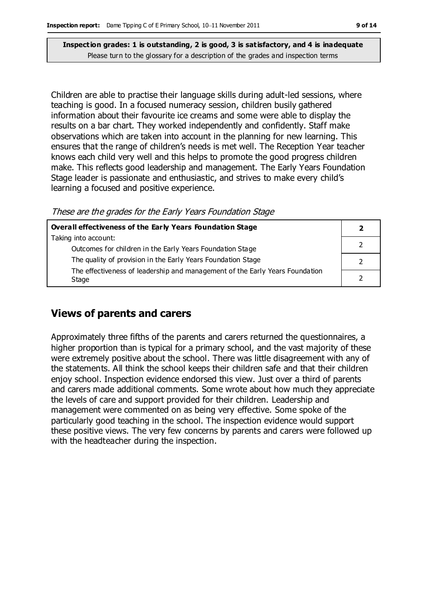Children are able to practise their language skills during adult-led sessions, where teaching is good. In a focused numeracy session, children busily gathered information about their favourite ice creams and some were able to display the results on a bar chart. They worked independently and confidently. Staff make observations which are taken into account in the planning for new learning. This ensures that the range of children's needs is met well. The Reception Year teacher knows each child very well and this helps to promote the good progress children make. This reflects good leadership and management. The Early Years Foundation Stage leader is passionate and enthusiastic, and strives to make every child's learning a focused and positive experience.

These are the grades for the Early Years Foundation Stage

| Overall effectiveness of the Early Years Foundation Stage                    |  |  |
|------------------------------------------------------------------------------|--|--|
| Taking into account:                                                         |  |  |
| Outcomes for children in the Early Years Foundation Stage                    |  |  |
| The quality of provision in the Early Years Foundation Stage                 |  |  |
| The effectiveness of leadership and management of the Early Years Foundation |  |  |
| Stage                                                                        |  |  |

#### **Views of parents and carers**

Approximately three fifths of the parents and carers returned the questionnaires, a higher proportion than is typical for a primary school, and the vast majority of these were extremely positive about the school. There was little disagreement with any of the statements. All think the school keeps their children safe and that their children enjoy school. Inspection evidence endorsed this view. Just over a third of parents and carers made additional comments. Some wrote about how much they appreciate the levels of care and support provided for their children. Leadership and management were commented on as being very effective. Some spoke of the particularly good teaching in the school. The inspection evidence would support these positive views. The very few concerns by parents and carers were followed up with the headteacher during the inspection.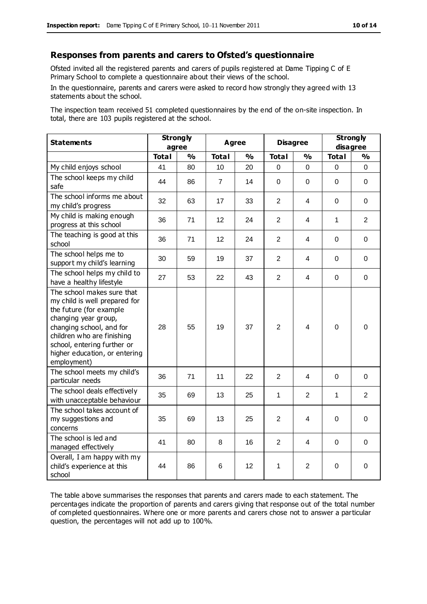#### **Responses from parents and carers to Ofsted's questionnaire**

Ofsted invited all the registered parents and carers of pupils registered at Dame Tipping C of E Primary School to complete a questionnaire about their views of the school.

In the questionnaire, parents and carers were asked to record how strongly they agreed with 13 statements about the school.

The inspection team received 51 completed questionnaires by the end of the on-site inspection. In total, there are 103 pupils registered at the school.

| <b>Statements</b>                                                                                                                                                                                                                                       | <b>Strongly</b><br>agree |               | <b>Agree</b>   |               | <b>Disagree</b> |                         | <b>Strongly</b><br>disagree |                |
|---------------------------------------------------------------------------------------------------------------------------------------------------------------------------------------------------------------------------------------------------------|--------------------------|---------------|----------------|---------------|-----------------|-------------------------|-----------------------------|----------------|
|                                                                                                                                                                                                                                                         | <b>Total</b>             | $\frac{1}{2}$ | <b>Total</b>   | $\frac{1}{2}$ | <b>Total</b>    | $\frac{1}{2}$           | <b>Total</b>                | %              |
| My child enjoys school                                                                                                                                                                                                                                  | 41                       | 80            | 10             | 20            | $\mathbf 0$     | 0                       | 0                           | 0              |
| The school keeps my child<br>safe                                                                                                                                                                                                                       | 44                       | 86            | $\overline{7}$ | 14            | $\mathbf 0$     | 0                       | $\Omega$                    | $\mathbf 0$    |
| The school informs me about<br>my child's progress                                                                                                                                                                                                      | 32                       | 63            | 17             | 33            | $\overline{2}$  | 4                       | 0                           | 0              |
| My child is making enough<br>progress at this school                                                                                                                                                                                                    | 36                       | 71            | 12             | 24            | $\overline{2}$  | 4                       | 1                           | 2              |
| The teaching is good at this<br>school                                                                                                                                                                                                                  | 36                       | 71            | 12             | 24            | $\overline{2}$  | 4                       | $\Omega$                    | 0              |
| The school helps me to<br>support my child's learning                                                                                                                                                                                                   | 30                       | 59            | 19             | 37            | $\overline{2}$  | 4                       | $\Omega$                    | $\Omega$       |
| The school helps my child to<br>have a healthy lifestyle                                                                                                                                                                                                | 27                       | 53            | 22             | 43            | $\overline{2}$  | 4                       | $\mathbf 0$                 | $\mathbf 0$    |
| The school makes sure that<br>my child is well prepared for<br>the future (for example<br>changing year group,<br>changing school, and for<br>children who are finishing<br>school, entering further or<br>higher education, or entering<br>employment) | 28                       | 55            | 19             | 37            | $\overline{2}$  | 4                       | $\Omega$                    | $\mathbf 0$    |
| The school meets my child's<br>particular needs                                                                                                                                                                                                         | 36                       | 71            | 11             | 22            | $\overline{2}$  | 4                       | $\Omega$                    | 0              |
| The school deals effectively<br>with unacceptable behaviour                                                                                                                                                                                             | 35                       | 69            | 13             | 25            | 1               | 2                       | 1                           | $\overline{2}$ |
| The school takes account of<br>my suggestions and<br>concerns                                                                                                                                                                                           | 35                       | 69            | 13             | 25            | $\overline{2}$  | $\overline{\mathbf{4}}$ | $\mathbf 0$                 | $\pmb{0}$      |
| The school is led and<br>managed effectively                                                                                                                                                                                                            | 41                       | 80            | 8              | 16            | $\overline{2}$  | 4                       | $\mathbf 0$                 | $\mathbf 0$    |
| Overall, I am happy with my<br>child's experience at this<br>school                                                                                                                                                                                     | 44                       | 86            | 6              | 12            | 1               | $\overline{2}$          | $\Omega$                    | $\mathbf 0$    |

The table above summarises the responses that parents and carers made to each statement. The percentages indicate the proportion of parents and carers giving that response out of the total number of completed questionnaires. Where one or more parents and carers chose not to answer a particular question, the percentages will not add up to 100%.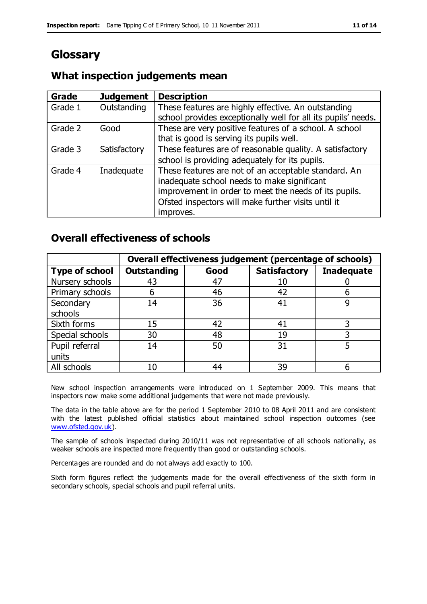## **Glossary**

## **What inspection judgements mean**

| <b>Grade</b> | <b>Judgement</b> | <b>Description</b>                                            |
|--------------|------------------|---------------------------------------------------------------|
| Grade 1      | Outstanding      | These features are highly effective. An outstanding           |
|              |                  | school provides exceptionally well for all its pupils' needs. |
| Grade 2      | Good             | These are very positive features of a school. A school        |
|              |                  | that is good is serving its pupils well.                      |
| Grade 3      | Satisfactory     | These features are of reasonable quality. A satisfactory      |
|              |                  | school is providing adequately for its pupils.                |
| Grade 4      | Inadequate       | These features are not of an acceptable standard. An          |
|              |                  | inadequate school needs to make significant                   |
|              |                  | improvement in order to meet the needs of its pupils.         |
|              |                  | Ofsted inspectors will make further visits until it           |
|              |                  | improves.                                                     |

### **Overall effectiveness of schools**

|                       | Overall effectiveness judgement (percentage of schools) |      |                     |                   |
|-----------------------|---------------------------------------------------------|------|---------------------|-------------------|
| <b>Type of school</b> | <b>Outstanding</b>                                      | Good | <b>Satisfactory</b> | <b>Inadequate</b> |
| Nursery schools       | 43                                                      | 47   |                     |                   |
| Primary schools       | h                                                       | 46   | 42                  |                   |
| Secondary             | 14                                                      | 36   | 41                  |                   |
| schools               |                                                         |      |                     |                   |
| Sixth forms           | 15                                                      | 42   | 41                  | 3                 |
| Special schools       | 30                                                      | 48   | 19                  |                   |
| Pupil referral        | 14                                                      | 50   | 31                  |                   |
| units                 |                                                         |      |                     |                   |
| All schools           | 10                                                      | 44   | 39                  |                   |

New school inspection arrangements were introduced on 1 September 2009. This means that inspectors now make some additional judgements that were not made previously.

The data in the table above are for the period 1 September 2010 to 08 April 2011 and are consistent with the latest published official statistics about maintained school inspection outcomes (see [www.ofsted.gov.uk\)](http://www.ofsted.gov.uk/).

The sample of schools inspected during 2010/11 was not representative of all schools nationally, as weaker schools are inspected more frequently than good or outstanding schools.

Percentages are rounded and do not always add exactly to 100.

Sixth form figures reflect the judgements made for the overall effectiveness of the sixth form in secondary schools, special schools and pupil referral units.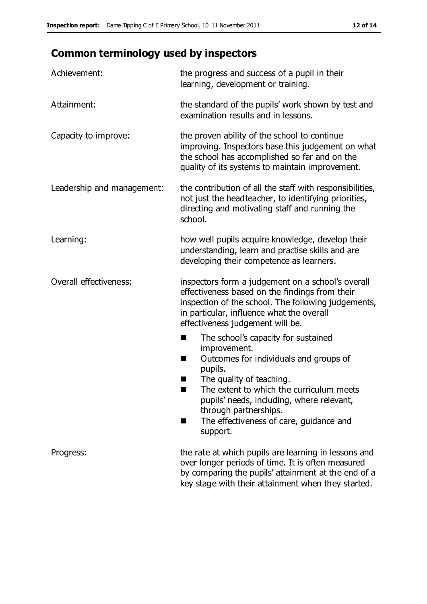# **Common terminology used by inspectors**

| Achievement:               | the progress and success of a pupil in their<br>learning, development or training.                                                                                                                                                                                                                                           |  |  |
|----------------------------|------------------------------------------------------------------------------------------------------------------------------------------------------------------------------------------------------------------------------------------------------------------------------------------------------------------------------|--|--|
| Attainment:                | the standard of the pupils' work shown by test and<br>examination results and in lessons.                                                                                                                                                                                                                                    |  |  |
| Capacity to improve:       | the proven ability of the school to continue<br>improving. Inspectors base this judgement on what<br>the school has accomplished so far and on the<br>quality of its systems to maintain improvement.                                                                                                                        |  |  |
| Leadership and management: | the contribution of all the staff with responsibilities,<br>not just the headteacher, to identifying priorities,<br>directing and motivating staff and running the<br>school.                                                                                                                                                |  |  |
| Learning:                  | how well pupils acquire knowledge, develop their<br>understanding, learn and practise skills and are<br>developing their competence as learners.                                                                                                                                                                             |  |  |
| Overall effectiveness:     | inspectors form a judgement on a school's overall<br>effectiveness based on the findings from their<br>inspection of the school. The following judgements,<br>in particular, influence what the overall<br>effectiveness judgement will be.                                                                                  |  |  |
|                            | The school's capacity for sustained<br>٠<br>improvement.<br>Outcomes for individuals and groups of<br>п<br>pupils.<br>The quality of teaching.<br>The extent to which the curriculum meets<br>pupils' needs, including, where relevant,<br>through partnerships.<br>The effectiveness of care, guidance and<br>ш<br>support. |  |  |
| Progress:                  | the rate at which pupils are learning in lessons and<br>over longer periods of time. It is often measured<br>by comparing the pupils' attainment at the end of a<br>key stage with their attainment when they started.                                                                                                       |  |  |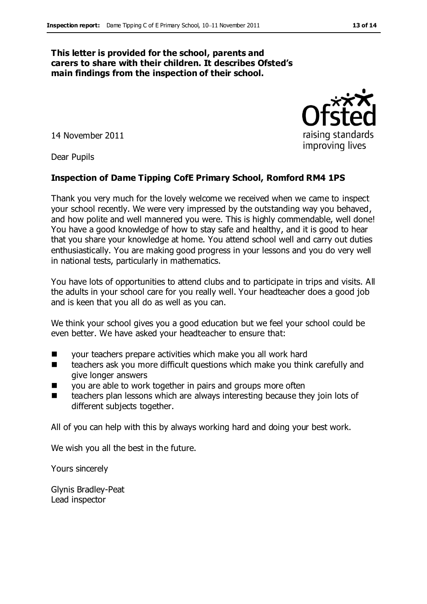#### **This letter is provided for the school, parents and carers to share with their children. It describes Ofsted's main findings from the inspection of their school.**

14 November 2011

Dear Pupils

#### **Inspection of Dame Tipping CofE Primary School, Romford RM4 1PS**

Thank you very much for the lovely welcome we received when we came to inspect your school recently. We were very impressed by the outstanding way you behaved, and how polite and well mannered you were. This is highly commendable, well done! You have a good knowledge of how to stay safe and healthy, and it is good to hear that you share your knowledge at home. You attend school well and carry out duties enthusiastically. You are making good progress in your lessons and you do very well in national tests, particularly in mathematics.

You have lots of opportunities to attend clubs and to participate in trips and visits. All the adults in your school care for you really well. Your headteacher does a good job and is keen that you all do as well as you can.

We think your school gives you a good education but we feel your school could be even better. We have asked your headteacher to ensure that:

- your teachers prepare activities which make you all work hard
- teachers ask you more difficult questions which make you think carefully and give longer answers
- you are able to work together in pairs and groups more often
- teachers plan lessons which are always interesting because they join lots of different subjects together.

All of you can help with this by always working hard and doing your best work.

We wish you all the best in the future.

Yours sincerely

Glynis Bradley-Peat Lead inspector